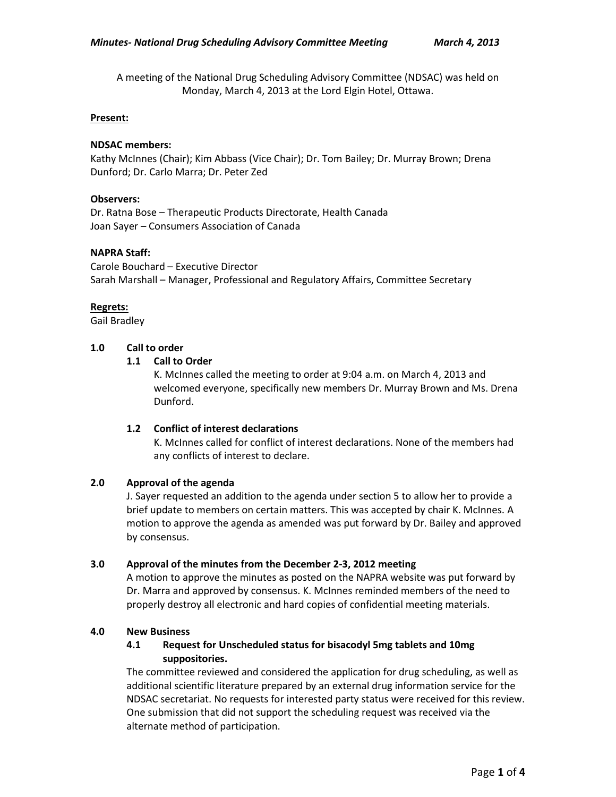A meeting of the National Drug Scheduling Advisory Committee (NDSAC) was held on Monday, March 4, 2013 at the Lord Elgin Hotel, Ottawa.

### **Present:**

## **NDSAC members:**

Kathy McInnes (Chair); Kim Abbass (Vice Chair); Dr. Tom Bailey; Dr. Murray Brown; Drena Dunford; Dr. Carlo Marra; Dr. Peter Zed

### **Observers:**

Dr. Ratna Bose – Therapeutic Products Directorate, Health Canada Joan Sayer – Consumers Association of Canada

### **NAPRA Staff:**

Carole Bouchard – Executive Director Sarah Marshall – Manager, Professional and Regulatory Affairs, Committee Secretary

### **Regrets:**

Gail Bradley

## **1.0 Call to order**

### **1.1 Call to Order**

K. McInnes called the meeting to order at 9:04 a.m. on March 4, 2013 and welcomed everyone, specifically new members Dr. Murray Brown and Ms. Drena Dunford.

## **1.2 Conflict of interest declarations**

K. McInnes called for conflict of interest declarations. None of the members had any conflicts of interest to declare.

## **2.0 Approval of the agenda**

J. Sayer requested an addition to the agenda under section 5 to allow her to provide a brief update to members on certain matters. This was accepted by chair K. McInnes. A motion to approve the agenda as amended was put forward by Dr. Bailey and approved by consensus.

#### **3.0 Approval of the minutes from the December 2-3, 2012 meeting**

A motion to approve the minutes as posted on the NAPRA website was put forward by Dr. Marra and approved by consensus. K. McInnes reminded members of the need to properly destroy all electronic and hard copies of confidential meeting materials.

#### **4.0 New Business**

# **4.1 Request for Unscheduled status for bisacodyl 5mg tablets and 10mg suppositories.**

The committee reviewed and considered the application for drug scheduling, as well as additional scientific literature prepared by an external drug information service for the NDSAC secretariat. No requests for interested party status were received for this review. One submission that did not support the scheduling request was received via the alternate method of participation.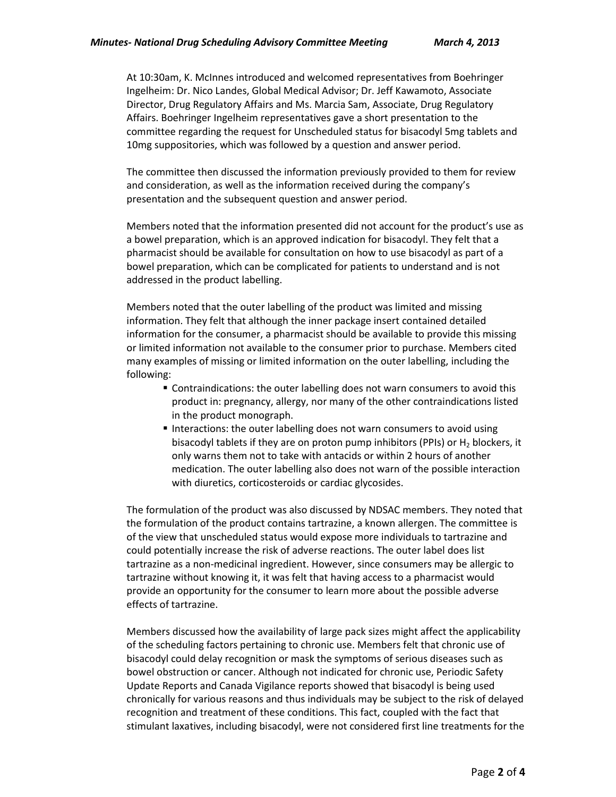At 10:30am, K. McInnes introduced and welcomed representatives from Boehringer Ingelheim: Dr. Nico Landes, Global Medical Advisor; Dr. Jeff Kawamoto, Associate Director, Drug Regulatory Affairs and Ms. Marcia Sam, Associate, Drug Regulatory Affairs. Boehringer Ingelheim representatives gave a short presentation to the committee regarding the request for Unscheduled status for bisacodyl 5mg tablets and 10mg suppositories, which was followed by a question and answer period.

The committee then discussed the information previously provided to them for review and consideration, as well as the information received during the company's presentation and the subsequent question and answer period.

Members noted that the information presented did not account for the product's use as a bowel preparation, which is an approved indication for bisacodyl. They felt that a pharmacist should be available for consultation on how to use bisacodyl as part of a bowel preparation, which can be complicated for patients to understand and is not addressed in the product labelling.

Members noted that the outer labelling of the product was limited and missing information. They felt that although the inner package insert contained detailed information for the consumer, a pharmacist should be available to provide this missing or limited information not available to the consumer prior to purchase. Members cited many examples of missing or limited information on the outer labelling, including the following:

- Contraindications: the outer labelling does not warn consumers to avoid this product in: pregnancy, allergy, nor many of the other contraindications listed in the product monograph.
- Interactions: the outer labelling does not warn consumers to avoid using bisacodyl tablets if they are on proton pump inhibitors (PPIs) or  $H_2$  blockers, it only warns them not to take with antacids or within 2 hours of another medication. The outer labelling also does not warn of the possible interaction with diuretics, corticosteroids or cardiac glycosides.

The formulation of the product was also discussed by NDSAC members. They noted that the formulation of the product contains tartrazine, a known allergen. The committee is of the view that unscheduled status would expose more individuals to tartrazine and could potentially increase the risk of adverse reactions. The outer label does list tartrazine as a non-medicinal ingredient. However, since consumers may be allergic to tartrazine without knowing it, it was felt that having access to a pharmacist would provide an opportunity for the consumer to learn more about the possible adverse effects of tartrazine.

Members discussed how the availability of large pack sizes might affect the applicability of the scheduling factors pertaining to chronic use. Members felt that chronic use of bisacodyl could delay recognition or mask the symptoms of serious diseases such as bowel obstruction or cancer. Although not indicated for chronic use, Periodic Safety Update Reports and Canada Vigilance reports showed that bisacodyl is being used chronically for various reasons and thus individuals may be subject to the risk of delayed recognition and treatment of these conditions. This fact, coupled with the fact that stimulant laxatives, including bisacodyl, were not considered first line treatments for the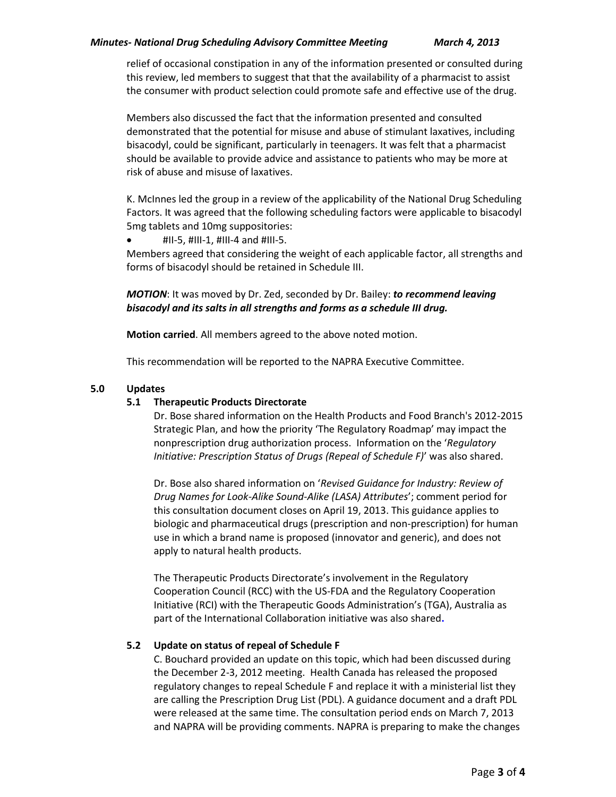relief of occasional constipation in any of the information presented or consulted during this review, led members to suggest that that the availability of a pharmacist to assist the consumer with product selection could promote safe and effective use of the drug.

Members also discussed the fact that the information presented and consulted demonstrated that the potential for misuse and abuse of stimulant laxatives, including bisacodyl, could be significant, particularly in teenagers. It was felt that a pharmacist should be available to provide advice and assistance to patients who may be more at risk of abuse and misuse of laxatives.

K. McInnes led the group in a review of the applicability of the National Drug Scheduling Factors. It was agreed that the following scheduling factors were applicable to bisacodyl 5mg tablets and 10mg suppositories:

 $\bullet$  #II-5, #III-1, #III-4 and #III-5.

Members agreed that considering the weight of each applicable factor, all strengths and forms of bisacodyl should be retained in Schedule III.

*MOTION*: It was moved by Dr. Zed, seconded by Dr. Bailey: *to recommend leaving bisacodyl and its salts in all strengths and forms as a schedule III drug.* 

**Motion carried**. All members agreed to the above noted motion.

This recommendation will be reported to the NAPRA Executive Committee.

# **5.0 Updates**

## **5.1 Therapeutic Products Directorate**

Dr. Bose shared information on the Health Products and Food Branch's 2012-2015 Strategic Plan, and how the priority 'The Regulatory Roadmap' may impact the nonprescription drug authorization process. Information on the '*Regulatory Initiative: Prescription Status of Drugs (Repeal of Schedule F)*' was also shared.

Dr. Bose also shared information on '*Revised Guidance for Industry: Review of Drug Names for Look-Alike Sound-Alike (LASA) Attributes*'; comment period for this consultation document closes on April 19, 2013. This guidance applies to biologic and pharmaceutical drugs (prescription and non-prescription) for human use in which a brand name is proposed (innovator and generic), and does not apply to natural health products.

The Therapeutic Products Directorate's involvement in the Regulatory Cooperation Council (RCC) with the US-FDA and the Regulatory Cooperation Initiative (RCI) with the Therapeutic Goods Administration's (TGA), Australia as part of the International Collaboration initiative was also shared**.**

## **5.2 Update on status of repeal of Schedule F**

C. Bouchard provided an update on this topic, which had been discussed during the December 2-3, 2012 meeting. Health Canada has released the proposed regulatory changes to repeal Schedule F and replace it with a ministerial list they are calling the Prescription Drug List (PDL). A guidance document and a draft PDL were released at the same time. The consultation period ends on March 7, 2013 and NAPRA will be providing comments. NAPRA is preparing to make the changes